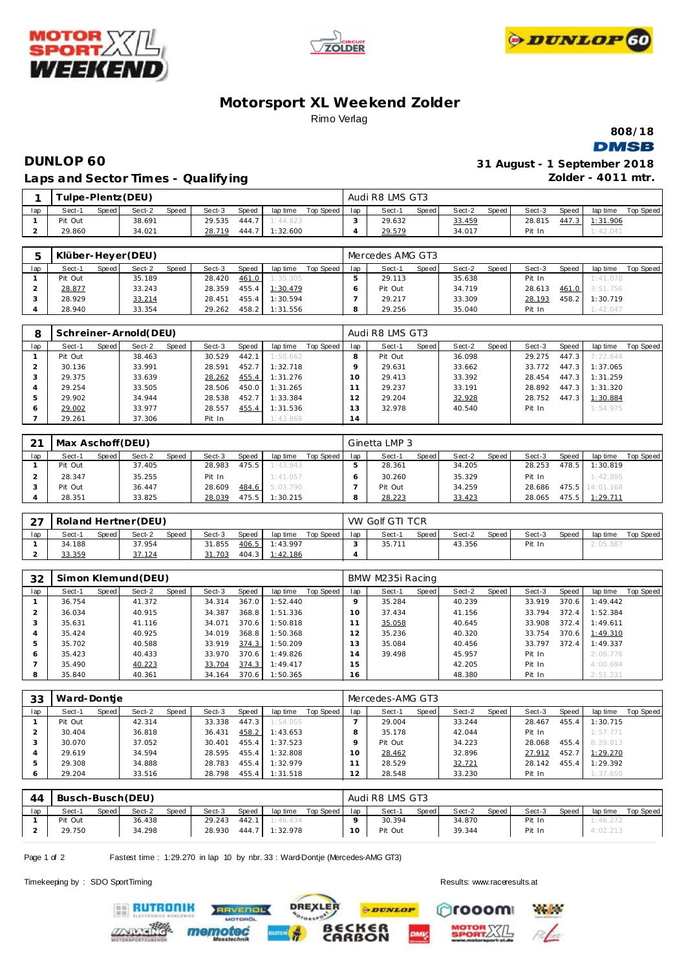





# **Motorsport XL Weekend Zolder** Rimo Verlag

**808/18 DMSB** 

# **DUNLOP 60 31 August - 1 September 2018 Laps and Sector Times - Qualify ing**

**Zolder - 4011 mtr.**

|     |                     |       | ulpe-Plentz (DEU) |       |        |       |          |           |     | Audi R8 LMS GT3 |       |        |       |        |       |          |           |
|-----|---------------------|-------|-------------------|-------|--------|-------|----------|-----------|-----|-----------------|-------|--------|-------|--------|-------|----------|-----------|
| lap | Sect-1              | Speed | Sect-2            | Speed | Sect-3 | Speed | lap time | Top Speed | lap | Sect-1          | Speed | Sect-2 | Speed | Sect-3 | Speed | lap time | Top Speed |
|     | <sup>o</sup> it Out |       | 38.691            |       | 29.535 | 444.7 | : 44.823 |           |     | 29.632          |       | 33.459 |       | 28.815 | 447.3 | 1:31.906 |           |
|     | 29.860              |       | 34.021            |       | 28.719 | 444.7 | :32.600  |           |     | 29.579          |       | 34.017 |       | Pit In |       | 1:42.041 |           |

|     |         |       | Klüber-Heyer (DEU) |       |        |       |          |           |     | Mercedes AMG GT3 |       |        |       |        |       |          |           |
|-----|---------|-------|--------------------|-------|--------|-------|----------|-----------|-----|------------------|-------|--------|-------|--------|-------|----------|-----------|
| lap | Sect-1  | Speed | Sect-2             | Speed | Sect-3 | Speed | lap time | Top Speed | lap | Sect-1           | Speed | Sect-2 | Speed | Sect-3 | Speed | lap time | Top Speed |
|     | Pit Out |       | 35.189             |       | 28.420 | 461.0 | 1:35.305 |           |     | 29.113           |       | 35.638 |       | Pit In |       | 1:41.078 |           |
|     | 28.877  |       | 33.243             |       | 28.359 | 455.4 | 1:30.479 |           |     | Pit Out          |       | 34.719 |       | 28.613 | 461.0 | 3:51.756 |           |
|     | 28.929  |       | 33.214             |       | 28.451 | 455.4 | 1:30.594 |           |     | 29.217           |       | 33.309 |       | 28.193 | 458.2 | 1:30.719 |           |
|     | 28.940  |       | 33.354             |       | 29.262 | 458.2 | 1:31.556 |           |     | 29.256           |       | 35.040 |       | Pit In |       | 1:42.047 |           |

|     |         |       | Schreiner-Arnold(DEU) |       |        |       |          |           |                | Audi R8 LMS GT3 |       |        |       |        |       |          |           |
|-----|---------|-------|-----------------------|-------|--------|-------|----------|-----------|----------------|-----------------|-------|--------|-------|--------|-------|----------|-----------|
| lap | Sect-1  | Speed | Sect-2                | Speed | Sect-3 | Speed | lap time | Top Speed | lap            | Sect-1          | Speed | Sect-2 | Speed | Sect-3 | Speed | lap time | Top Speed |
|     | Pit Out |       | 38.463                |       | 30.529 | 442.1 | 1:50.662 |           |                | Pit Out         |       | 36.098 |       | 29.275 | 447.3 | 7:22.644 |           |
|     | 30.136  |       | 33.991                |       | 28.591 | 452.7 | 1:32.718 |           |                | 29.631          |       | 33.662 |       | 33.772 | 447.3 | 1:37.065 |           |
|     | 29.375  |       | 33.639                |       | 28.262 | 455.4 | 1:31.276 |           | 10             | 29.413          |       | 33.392 |       | 28.454 | 447.3 | 1:31.259 |           |
|     | 29.254  |       | 33.505                |       | 28.506 | 450.0 | 1:31.265 |           |                | 29.237          |       | 33.191 |       | 28.892 | 447.3 | 1:31.320 |           |
|     | 29.902  |       | 34.944                |       | 28.538 | 452.7 | 1:33.384 |           |                | 29.204          |       | 32.928 |       | 28.752 | 447.3 | 1:30.884 |           |
|     | 29.002  |       | 33.977                |       | 28.557 | 455.4 | 1:31.536 |           | 3              | 32.978          |       | 40.540 |       | Pit In |       | 1:54.975 |           |
|     | 29.261  |       | 37.306                |       | Pit In |       | 1:43.868 |           | $\overline{4}$ |                 |       |        |       |        |       |          |           |

| 21  | Max Aschoff (DEU) |       |        |              |        |       |          |           |     | Ginetta LMP 3 |       |        |       |        |       |                 |           |
|-----|-------------------|-------|--------|--------------|--------|-------|----------|-----------|-----|---------------|-------|--------|-------|--------|-------|-----------------|-----------|
| lap | Sect-1            | Speed | Sect-2 | <b>Speed</b> | Sect-3 | Speed | lap time | Top Speed | lap | Sect-1        | Speed | Sect-2 | Speed | Sect-3 | Speed | lap time        | Top Speed |
|     | Pit Out           |       | 37.405 |              | 28.983 | 475.5 | 1:43.943 |           |     | 28.361        |       | 34.205 |       | 28.253 | 478.5 | 1:30.819        |           |
|     | 28.347            |       | 35.255 |              | Pit In |       | 1:41.057 |           |     | 30.260        |       | 35.329 |       | Pit In |       | 1:42.895        |           |
|     | Pit Out           |       | 36.447 |              | 28.609 | 484.6 | 5:03.790 |           |     | Pit Out       |       | 34.259 |       | 28.686 |       | 475.5 14:01.168 |           |
|     | 28.351            |       | 33.825 |              | 28.039 | 475.5 | 1:30.215 |           |     | 28.223        |       | 33.423 |       | 28.065 | 475.5 | 1:29.711        |           |

| $\sim$ $\rightarrow$<br>∠ | Roland Hertner (DEU) |       |        |              |        |       |          |           |     | VW Golf GTI TCR |       |        |       |        |       |          |           |
|---------------------------|----------------------|-------|--------|--------------|--------|-------|----------|-----------|-----|-----------------|-------|--------|-------|--------|-------|----------|-----------|
| lap                       | Sect-1               | Speed | Sect-2 | <b>Speed</b> | Sect-3 | Speed | lap time | Top Speed | lap | Sect-1          | Speed | Sect-2 | Speed | Sect-3 | Speed | lap time | Top Speed |
|                           | 34.188               |       | 37.954 |              | 31.855 | 406.5 | 1:43.997 |           |     | 35.711          |       | 43.356 |       | Pit In |       | 2:05.887 |           |
|                           | 33.359               |       | 37.124 |              | 31.703 | 404.3 | 1:42.186 |           |     |                 |       |        |       |        |       |          |           |

| 32  |        |       | Simon Klemund (DEU) |       |        |       |          |           |     | BMW M235i Racing |       |        |       |        |       |          |           |
|-----|--------|-------|---------------------|-------|--------|-------|----------|-----------|-----|------------------|-------|--------|-------|--------|-------|----------|-----------|
| lap | Sect-1 | Speed | Sect-2              | Speed | Sect-3 | Speed | lap time | Top Speed | lap | Sect-1           | Speed | Sect-2 | Speed | Sect-3 | Speed | lap time | Top Speed |
|     | 36.754 |       | 41.372              |       | 34.314 | 367.0 | 1:52.440 |           |     | 35.284           |       | 40.239 |       | 33.919 | 370.6 | 1:49.442 |           |
|     | 36.034 |       | 40.915              |       | 34.387 | 368.8 | 1:51.336 |           | 10  | 37.434           |       | 41.156 |       | 33.794 | 372.4 | 1:52.384 |           |
|     | 35.631 |       | 41.116              |       | 34.071 | 370.6 | 1:50.818 |           |     | 35.058           |       | 40.645 |       | 33.908 | 372.4 | 1:49.611 |           |
|     | 35.424 |       | 40.925              |       | 34.019 | 368.8 | 1:50.368 |           |     | 35.236           |       | 40.320 |       | 33.754 | 370.6 | 1:49.310 |           |
|     | 35.702 |       | 40.588              |       | 33.919 | 374.3 | 1:50.209 |           | 3   | 35.084           |       | 40.456 |       | 33.797 | 372.4 | 1:49.337 |           |
| O   | 35.423 |       | 40.433              |       | 33.970 | 370.6 | 1:49.826 |           | 14  | 39.498           |       | 45.957 |       | Pit In |       | 2:06.776 |           |
|     | 35.490 |       | 40.223              |       | 33.704 | 374.3 | 1:49.417 |           | 15  |                  |       | 42.205 |       | Pit In |       | 4:00.694 |           |
|     | 35.840 |       | 40.361              |       | 34.164 | 370.6 | 1:50.365 |           | 16  |                  |       | 48.380 |       | Pit In |       | 2:51.231 |           |

| 33  | Ward-Dontie |       |        |       |        |       |          |           |     | Mercedes-AMG GT3 |       |        |       |        |       |          |           |
|-----|-------------|-------|--------|-------|--------|-------|----------|-----------|-----|------------------|-------|--------|-------|--------|-------|----------|-----------|
| lap | Sect-1      | Speed | Sect-2 | Speed | Sect-3 | Speed | lap time | Top Speed | lap | Sect-1           | Speed | Sect-2 | Speed | Sect-3 | Speed | lap time | Top Speed |
|     | Pit Out     |       | 42.314 |       | 33.338 | 447.3 | 1:54.055 |           |     | 29.004           |       | 33.244 |       | 28.467 | 455.4 | 1:30.715 |           |
|     | 30.404      |       | 36.818 |       | 36.431 | 458.2 | 1:43.653 |           |     | 35.178           |       | 42.044 |       | Pit In |       | 1:57.771 |           |
|     | 30.070      |       | 37.052 |       | 30.401 | 455.4 | 1:37.523 |           |     | Pit Out          |       | 34.223 |       | 28.068 | 455.4 | 8:29.813 |           |
|     | 29.619      |       | 34.594 |       | 28.595 | 455.4 | 1:32.808 |           | 10  | 28.462           |       | 32.896 |       | 27.912 | 452.7 | 1:29.270 |           |
|     | 29.308      |       | 34.888 |       | 28.783 | 455.4 | 1:32.979 |           |     | 28.529           |       | 32.721 |       | 28.142 | 455.4 | 1:29.392 |           |
| O   | 29.204      |       | 33.516 |       | 28.798 | 455.4 | 1:31.518 |           | 12  | 28.548           |       | 33.230 |       | Pit In |       | 1:37.650 |           |

| 44  | Busch-Busch (DEU) |         |        |       |        |       |          |           |     | Audi R8 LMS GT3 |       |        |       |        |       |          |           |
|-----|-------------------|---------|--------|-------|--------|-------|----------|-----------|-----|-----------------|-------|--------|-------|--------|-------|----------|-----------|
| lap | Sect-1            | Speed I | Sect-2 | Speed | Sect-3 | Speed | lap time | Top Speed | lap | Sect-1          | Speed | Sect-2 | Speed | Sect-3 | Speed | lap time | Top Speed |
|     | Pit Out           |         | 36.438 |       | 29.243 | 442.1 | 1:46.434 |           |     | 30.394          |       | 34.870 |       | Pit In |       | 1:46.272 |           |
|     | 29.750            |         | 34.298 |       | 28.930 | 444.7 | 1:32.978 |           |     | Pit Out         |       | 39.344 |       | Pit In |       | 4:02.213 |           |

Page 1 of 2 Fastest time : 1:29.270 in lap 10 by nbr. 33 : Ward-Dontje (Mercedes-AMG GT3)

Timekeeping by : SDO SportTiming Results:<www.raceresults.at>

**ERUTRONIK**